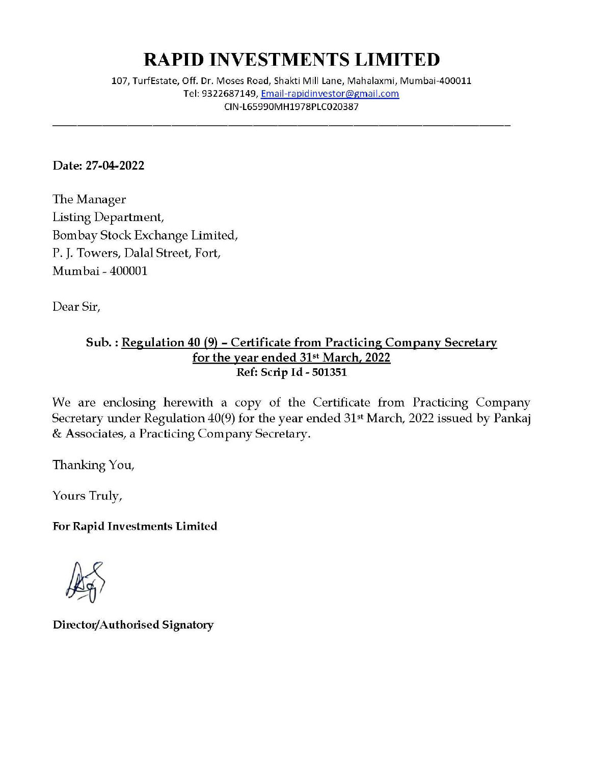## **RAPID INVESTMENTS LIMITED**

107, Turf Estate, Off. Dr. Moses Road, Shakti Mill Lane, Mahalaxmi, Mumbai-400011 **Tel: 9322687149, Email-rapidin vestor@gmai l.com**  CIN-L65990MH1978PLC020387

Date: 27-04-2022

The Manager Listing Department, Bombay Stock Exchange Limited, P. J. Towers, Dalal Street, Fort, Mumbai - 400001

Dear Sir,

## Sub. : Regulation 40 (9) - Certificate from Practicing Company Secretary for the year ended 31<sup>st</sup> March, 2022 Ref: Scrip Id - 501351

We are enclosing herewith a copy of the Certificate from Practicing Company Secretary under Regulation 40(9) for the year ended 31<sup>st</sup> March, 2022 issued by Pankaj & Associates, a Practicing Company Secretary.

Thanking You,

Yours Truly,

For Rapid Investments Limited

Director/Authorised Signatory